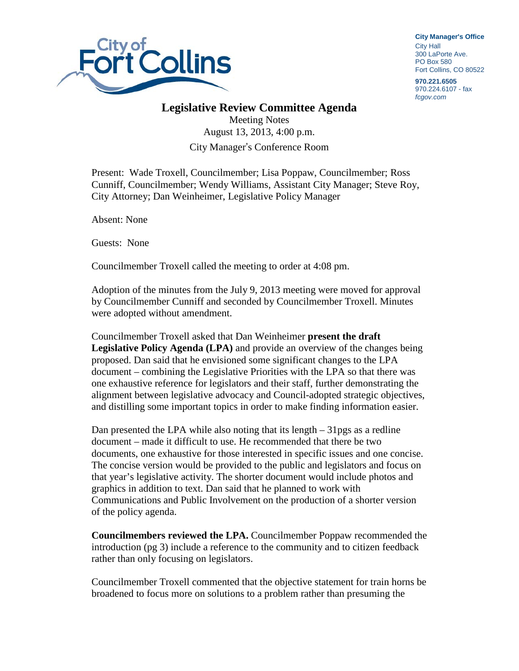

**City Manager**'**s Office** City Hall 300 LaPorte Ave. PO Box 580 Fort Collins, CO 80522

**970.221.6505** 970.224.6107 - fax *fcgov.com*

## **Legislative Review Committee Agenda**

Meeting Notes August 13, 2013, 4:00 p.m. City Manager's Conference Room

Present: Wade Troxell, Councilmember; Lisa Poppaw, Councilmember; Ross Cunniff, Councilmember; Wendy Williams, Assistant City Manager; Steve Roy, City Attorney; Dan Weinheimer, Legislative Policy Manager

Absent: None

Guests: None

Councilmember Troxell called the meeting to order at 4:08 pm.

Adoption of the minutes from the July 9, 2013 meeting were moved for approval by Councilmember Cunniff and seconded by Councilmember Troxell. Minutes were adopted without amendment.

Councilmember Troxell asked that Dan Weinheimer **present the draft Legislative Policy Agenda (LPA)** and provide an overview of the changes being proposed. Dan said that he envisioned some significant changes to the LPA document – combining the Legislative Priorities with the LPA so that there was one exhaustive reference for legislators and their staff, further demonstrating the alignment between legislative advocacy and Council-adopted strategic objectives, and distilling some important topics in order to make finding information easier.

Dan presented the LPA while also noting that its length – 31pgs as a redline document – made it difficult to use. He recommended that there be two documents, one exhaustive for those interested in specific issues and one concise. The concise version would be provided to the public and legislators and focus on that year's legislative activity. The shorter document would include photos and graphics in addition to text. Dan said that he planned to work with Communications and Public Involvement on the production of a shorter version of the policy agenda.

**Councilmembers reviewed the LPA.** Councilmember Poppaw recommended the introduction (pg 3) include a reference to the community and to citizen feedback rather than only focusing on legislators.

Councilmember Troxell commented that the objective statement for train horns be broadened to focus more on solutions to a problem rather than presuming the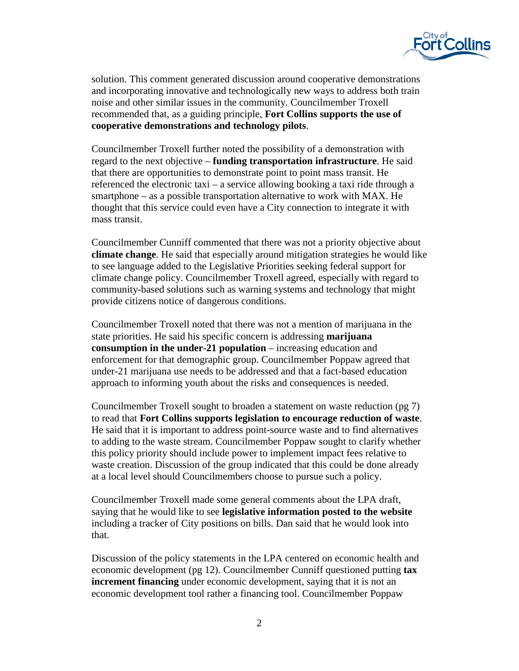

solution. This comment generated discussion around cooperative demonstrations and incorporating innovative and technologically new ways to address both train noise and other similar issues in the community. Councilmember Troxell recommended that, as a guiding principle, **Fort Collins supports the use of cooperative demonstrations and technology pilots**.

Councilmember Troxell further noted the possibility of a demonstration with regard to the next objective – **funding transportation infrastructure**. He said that there are opportunities to demonstrate point to point mass transit. He referenced the electronic taxi – a service allowing booking a taxi ride through a smartphone – as a possible transportation alternative to work with MAX. He thought that this service could even have a City connection to integrate it with mass transit.

Councilmember Cunniff commented that there was not a priority objective about **climate change**. He said that especially around mitigation strategies he would like to see language added to the Legislative Priorities seeking federal support for climate change policy. Councilmember Troxell agreed, especially with regard to community-based solutions such as warning systems and technology that might provide citizens notice of dangerous conditions.

Councilmember Troxell noted that there was not a mention of marijuana in the state priorities. He said his specific concern is addressing **marijuana consumption in the under-21 population** – increasing education and enforcement for that demographic group. Councilmember Poppaw agreed that under-21 marijuana use needs to be addressed and that a fact-based education approach to informing youth about the risks and consequences is needed.

Councilmember Troxell sought to broaden a statement on waste reduction (pg 7) to read that **Fort Collins supports legislation to encourage reduction of waste**. He said that it is important to address point-source waste and to find alternatives to adding to the waste stream. Councilmember Poppaw sought to clarify whether this policy priority should include power to implement impact fees relative to waste creation. Discussion of the group indicated that this could be done already at a local level should Councilmembers choose to pursue such a policy.

Councilmember Troxell made some general comments about the LPA draft, saying that he would like to see **legislative information posted to the website**  including a tracker of City positions on bills. Dan said that he would look into that.

Discussion of the policy statements in the LPA centered on economic health and economic development (pg 12). Councilmember Cunniff questioned putting **tax increment financing** under economic development, saying that it is not an economic development tool rather a financing tool. Councilmember Poppaw